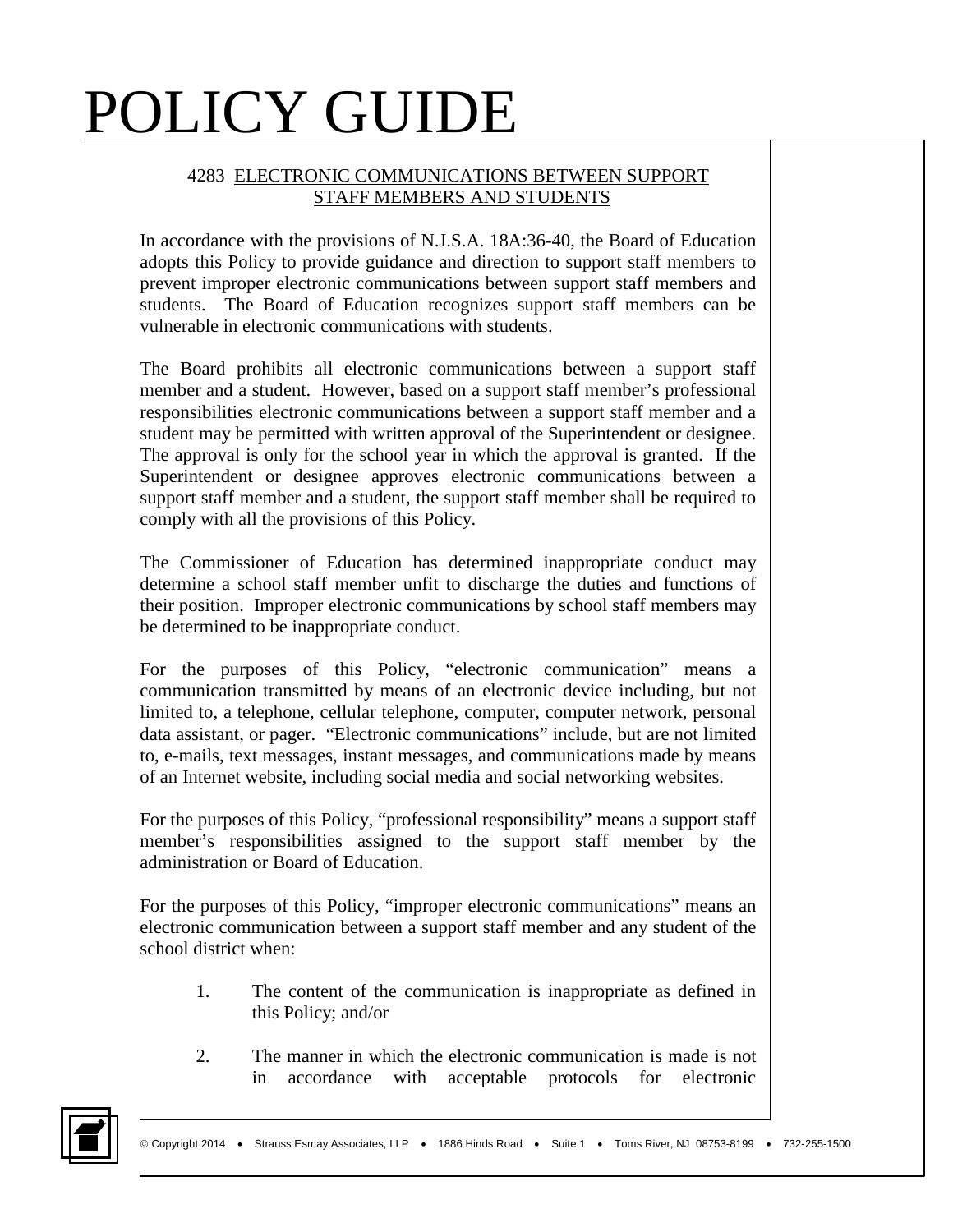#### 4283 ELECTRONIC COMMUNICATIONS BETWEEN SUPPORT STAFF MEMBERS AND STUDENTS

In accordance with the provisions of N.J.S.A. 18A:36-40, the Board of Education adopts this Policy to provide guidance and direction to support staff members to prevent improper electronic communications between support staff members and students. The Board of Education recognizes support staff members can be vulnerable in electronic communications with students.

The Board prohibits all electronic communications between a support staff member and a student. However, based on a support staff member's professional responsibilities electronic communications between a support staff member and a student may be permitted with written approval of the Superintendent or designee. The approval is only for the school year in which the approval is granted. If the Superintendent or designee approves electronic communications between a support staff member and a student, the support staff member shall be required to comply with all the provisions of this Policy.

The Commissioner of Education has determined inappropriate conduct may determine a school staff member unfit to discharge the duties and functions of their position. Improper electronic communications by school staff members may be determined to be inappropriate conduct.

For the purposes of this Policy, "electronic communication" means a communication transmitted by means of an electronic device including, but not limited to, a telephone, cellular telephone, computer, computer network, personal data assistant, or pager. "Electronic communications" include, but are not limited to, e-mails, text messages, instant messages, and communications made by means of an Internet website, including social media and social networking websites.

For the purposes of this Policy, "professional responsibility" means a support staff member's responsibilities assigned to the support staff member by the administration or Board of Education.

For the purposes of this Policy, "improper electronic communications" means an electronic communication between a support staff member and any student of the school district when:

- 1. The content of the communication is inappropriate as defined in this Policy; and/or
- 2. The manner in which the electronic communication is made is not in accordance with acceptable protocols for electronic

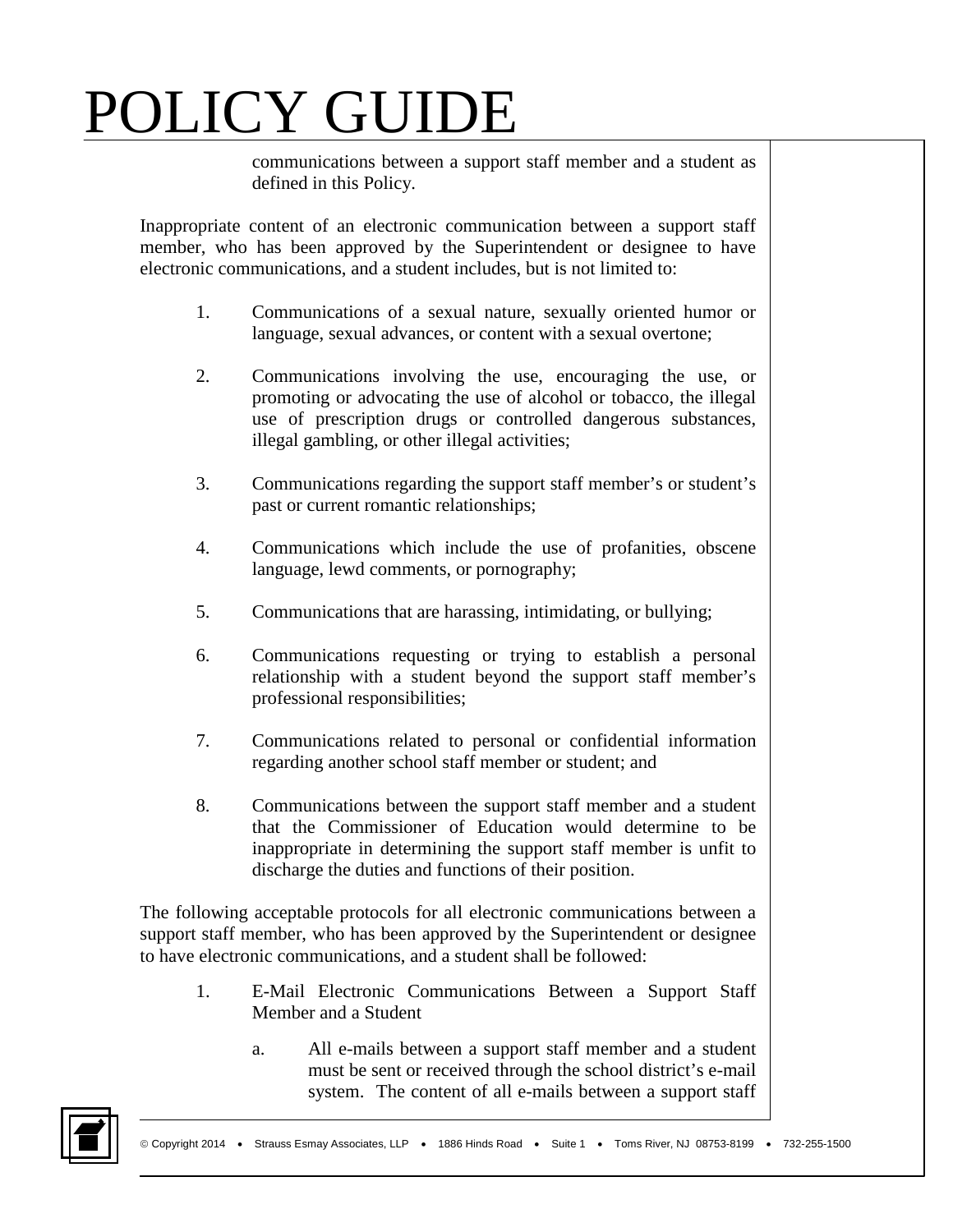communications between a support staff member and a student as defined in this Policy.

Inappropriate content of an electronic communication between a support staff member, who has been approved by the Superintendent or designee to have electronic communications, and a student includes, but is not limited to:

- 1. Communications of a sexual nature, sexually oriented humor or language, sexual advances, or content with a sexual overtone;
- 2. Communications involving the use, encouraging the use, or promoting or advocating the use of alcohol or tobacco, the illegal use of prescription drugs or controlled dangerous substances, illegal gambling, or other illegal activities;
- 3. Communications regarding the support staff member's or student's past or current romantic relationships;
- 4. Communications which include the use of profanities, obscene language, lewd comments, or pornography;
- 5. Communications that are harassing, intimidating, or bullying;
- 6. Communications requesting or trying to establish a personal relationship with a student beyond the support staff member's professional responsibilities;
- 7. Communications related to personal or confidential information regarding another school staff member or student; and
- 8. Communications between the support staff member and a student that the Commissioner of Education would determine to be inappropriate in determining the support staff member is unfit to discharge the duties and functions of their position.

The following acceptable protocols for all electronic communications between a support staff member, who has been approved by the Superintendent or designee to have electronic communications, and a student shall be followed:

- 1. E-Mail Electronic Communications Between a Support Staff Member and a Student
	- a. All e-mails between a support staff member and a student must be sent or received through the school district's e-mail system. The content of all e-mails between a support staff

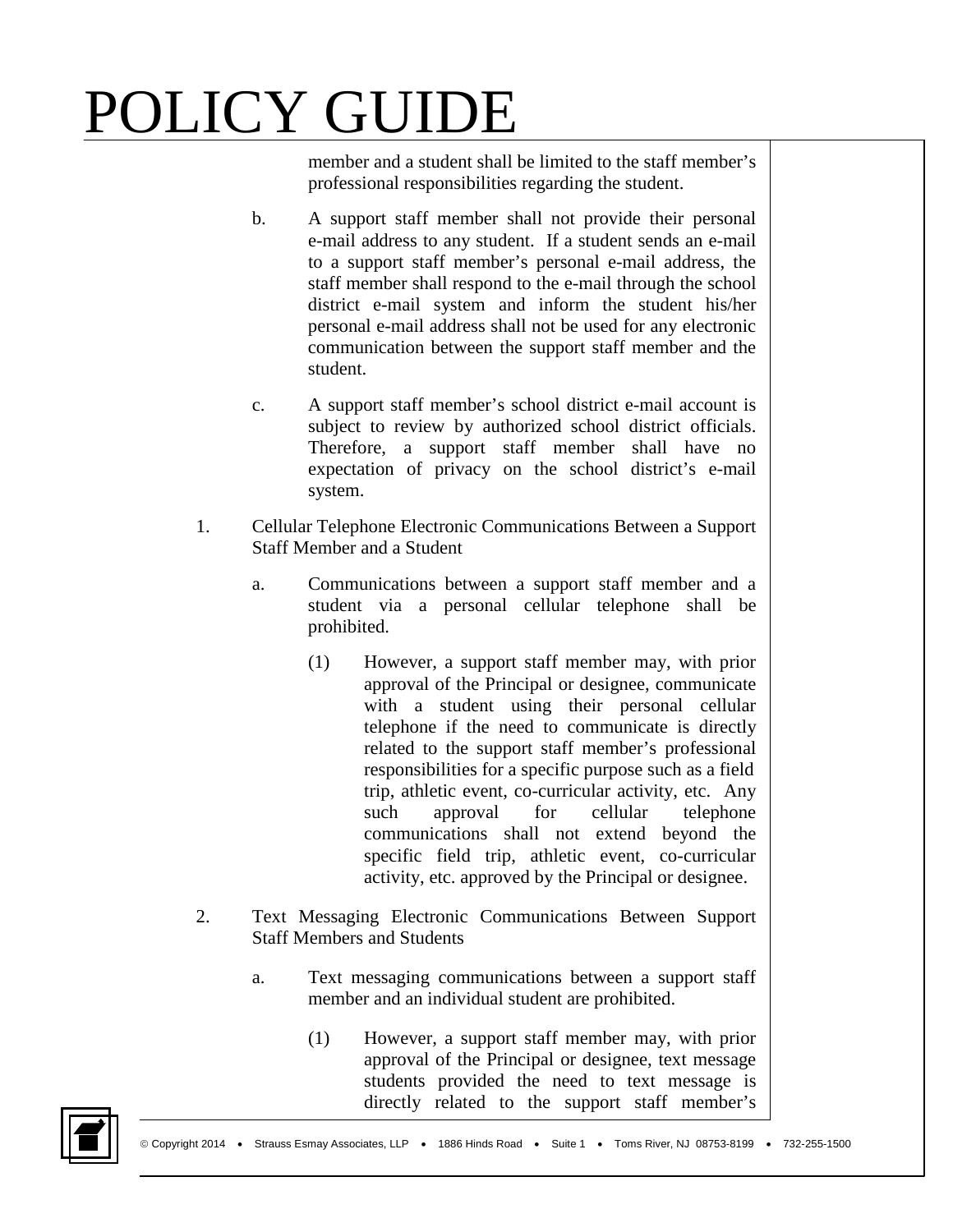member and a student shall be limited to the staff member's professional responsibilities regarding the student.

- b. A support staff member shall not provide their personal e-mail address to any student. If a student sends an e-mail to a support staff member's personal e-mail address, the staff member shall respond to the e-mail through the school district e-mail system and inform the student his/her personal e-mail address shall not be used for any electronic communication between the support staff member and the student.
- c. A support staff member's school district e-mail account is subject to review by authorized school district officials. Therefore, a support staff member shall have no expectation of privacy on the school district's e-mail system.
- 1. Cellular Telephone Electronic Communications Between a Support Staff Member and a Student
	- a. Communications between a support staff member and a student via a personal cellular telephone shall be prohibited.
		- (1) However, a support staff member may, with prior approval of the Principal or designee, communicate with a student using their personal cellular telephone if the need to communicate is directly related to the support staff member's professional responsibilities for a specific purpose such as a field trip, athletic event, co-curricular activity, etc. Any such approval for cellular telephone communications shall not extend beyond the specific field trip, athletic event, co-curricular activity, etc. approved by the Principal or designee.
- 2. Text Messaging Electronic Communications Between Support Staff Members and Students
	- a. Text messaging communications between a support staff member and an individual student are prohibited.
		- (1) However, a support staff member may, with prior approval of the Principal or designee, text message students provided the need to text message is directly related to the support staff member's

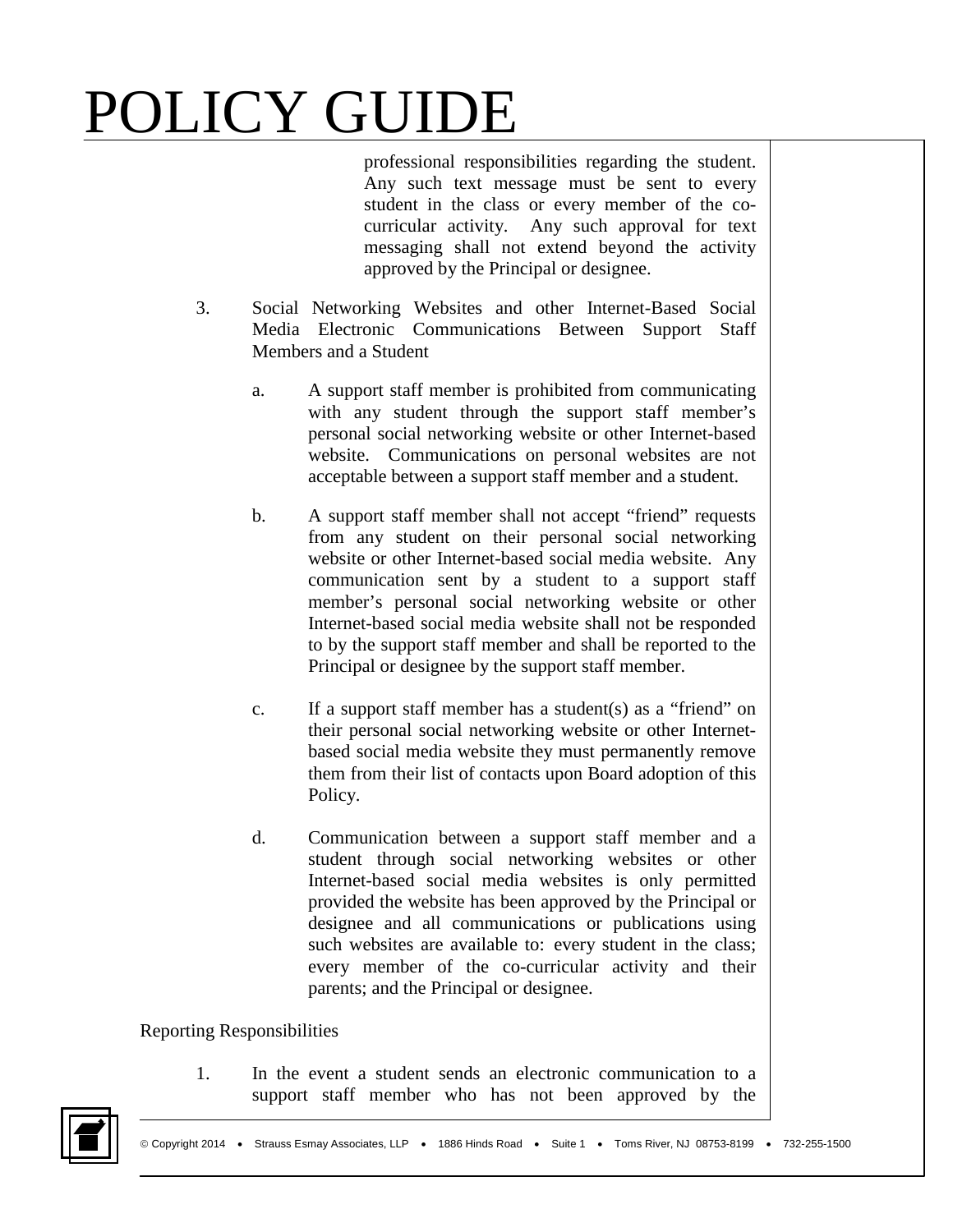professional responsibilities regarding the student. Any such text message must be sent to every student in the class or every member of the cocurricular activity. Any such approval for text messaging shall not extend beyond the activity approved by the Principal or designee.

- 3. Social Networking Websites and other Internet-Based Social Media Electronic Communications Between Support Staff Members and a Student
	- a. A support staff member is prohibited from communicating with any student through the support staff member's personal social networking website or other Internet-based website. Communications on personal websites are not acceptable between a support staff member and a student.
	- b. A support staff member shall not accept "friend" requests from any student on their personal social networking website or other Internet-based social media website. Any communication sent by a student to a support staff member's personal social networking website or other Internet-based social media website shall not be responded to by the support staff member and shall be reported to the Principal or designee by the support staff member.
	- c. If a support staff member has a student(s) as a "friend" on their personal social networking website or other Internetbased social media website they must permanently remove them from their list of contacts upon Board adoption of this Policy.
	- d. Communication between a support staff member and a student through social networking websites or other Internet-based social media websites is only permitted provided the website has been approved by the Principal or designee and all communications or publications using such websites are available to: every student in the class; every member of the co-curricular activity and their parents; and the Principal or designee.

#### Reporting Responsibilities

1. In the event a student sends an electronic communication to a support staff member who has not been approved by the